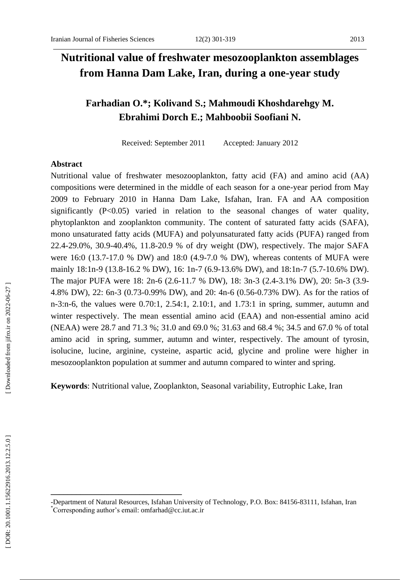# **Nutritional value of freshwater mesozooplankton assemblages from Hanna Dam Lake, Iran, during a one -year study**

## **Farhadian O . \*; Kolivand S . ; Mahmoudi Khoshdarehgy M . Ebrahimi Dorch E . ; Mahbo obi i S oofiani N .**

Received: September 201 Accepted: January 2012

#### **Abstract**

Nutritional value of freshwater mesozooplankton, fatty acid (FA) and amino acid (AA) compositions were determined in the middle of each season for a one -year period from May 2009 to February 2010 in Hanna Dam Lake, Isfahan, Iran. FA and AA composition significantly (P<0.05) varied in relation to the seasonal changes of water quality, phytoplankton and zooplankton community. The content of saturated fatty acids (SAFA), mono unsaturated fatty acids (MUFA) and polyunsaturated fatty acids (PUFA) ranged from 22.4 -29.0%, 30.9 -40.4%, 11.8 -20.9 % of dry weight (DW), respectively. The major SAFA were 16:0 (13.7 -17.0 % DW) and 18:0 (4.9 -7.0 % DW), whereas contents of MUFA were mainly 18:1n-9 (13.8-16.2 % DW), 16: 1n-7 (6.9-13.6% DW), and 18:1n-7 (5.7-10.6% DW). The major PUFA were 18: 2n-6 (2.6-11.7 % DW), 18: 3n-3 (2.4-3.1% DW), 20: 5n-3 (3.9-4.8% DW), 22: 6n -3 (0.73 -0.99% DW), and 20: 4n -6 (0.56 -0.73% DW). As for the ratios of n -3:n -6, the values were 0.70:1, 2.54:1, 2.10:1, and 1.73:1 in spring, summer, autumn and winter respectively. The mean essential amino acid (EAA) and non -essential amino acid (NEAA) were 28.7 and 71.3 %; 31.0 and 69.0 %; 31.63 and 68.4 %; 34.5 and 67.0 % of total amino acid in spring, summer, autumn and winter, respectively. The amount of tyrosin, isolucine, lucine, arginine, cysteine, aspartic acid, glycine and proline were higher in mesozooplankton population at summer and autumn compared to winter and spring.

**Keyword s**: Nutritional value, Zooplankton, Seasonal variability, Eutrophic Lake, Iran

**\_\_\_\_\_\_\_\_\_\_\_\_\_\_\_\_\_\_\_\_\_\_\_\_\_\_\_\_\_\_\_**

<sup>-</sup>Department of Natural Resources, Isfahan University of Technology, P.O. Box: 84156 -83111, Isfahan, Iran \*Corresponding author's email: [omfarhad@cc.iut.ac.ir](mailto:omfarhad@cc.iut.ac.ir)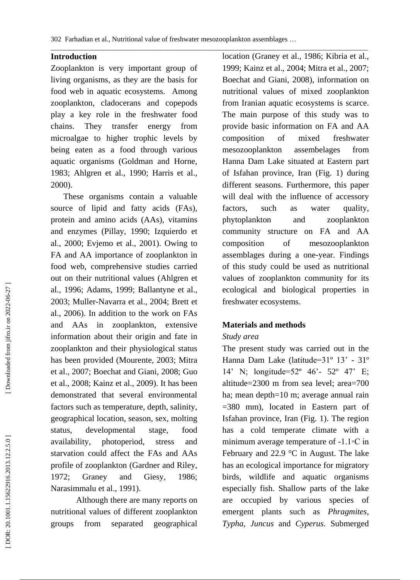#### **Introduction**

Zooplankton is very important group of living organisms, as they are the basis for food web in aquatic ecosystems. Among zooplankton, cladocerans and copepods play a key role in the freshwater food chains. They transfer energy from microalgae to higher trophic levels by being eaten as a food through various aquatic organisms (Goldman and Horne, 1983; Ahlgren et al., 1990; Harris et al., 2000).

 These organisms contain a valuable source of lipid and fatty acids (FAs), protein and amino acids (AAs), vitamins and enzymes (Pillay, 1990; Izquierdo et al., 2000; Evjemo et al., 2001). Owing to FA and AA importance of zooplankton in food web, comprehensive studies carried out on their nutritional values (Ahlgren et al., 1996; Adams, 1999; Ballantyne et al., 2003; Muller -Navarra et al., 2004; Brett et al., 2006). In addition to the work on FAs and AAs in zooplankton, extensive information about their origin and fate in zooplankton and their physiological status has been provided (Mourente, 2003; Mitra et al., 2007; Boechat and Giani, 2008; Guo et al., 2008; Kainz et al., 2009). It has been demonstrated that several environmental factors such as temperature, depth, salinity, geographical location, season, sex, molting status, developmental stage, food availability, photoperiod, stress and starvation could affect the FAs and AAs profile of zooplankton (Gardner and Riley, 1972; Graney and Giesy, 1986; Narasimmalu et al., 1991).

Although there are many report s on nutritional values of different zooplankton groups from separated geographical

location (Graney et al., 1986; Kibria et al., 1999; Kainz et al., 2004; Mitra et al., 2007; Boechat and Giani, 2008), information on nutritional values of mixed zooplankton from Iranian aquatic ecosystems is scarce. The main purpose of this study was to provide basic information on FA and AA composition of mixed freshwater mesozooplankton assembelages from Hanna Dam Lake situated at Eastern part of Isfahan province, Iran (Fig. 1) during different seasons. Furthermore, this paper will deal with the influence of accessory factors, such as water quality, phytoplankton and zooplankton community structure on FA and AA composition of mesozooplankton assemblages during a one -year. Findings of this study could be used as nutritional values of zooplankton community for its ecological and biological properties in freshwater ecosystems .

#### **Materials and methods**

#### *Study area*

The present study was carried out in the Hanna Dam Lake (latitude=31° 13' - 31° 14' N; longitude=52º 46' - 52º 47' E; altitude=2300 m from sea level; area=700 ha; mean depth=10 m; average annual rain =380 mm), located in Eastern part of Isfahan province, Iran (Fig. 1). The region has a cold temperate climate with a minimum average temperature of -1.1◦C in February and 22.9 °C in August. The lake has an ecological importance for migratory birds, wildlife and aquatic organisms especially fish. Shallow parts of the lake are occupied by various species of emergent plants such as *Phragmites*, *Typha*, *Juncus* and *Cyperus*. Submerged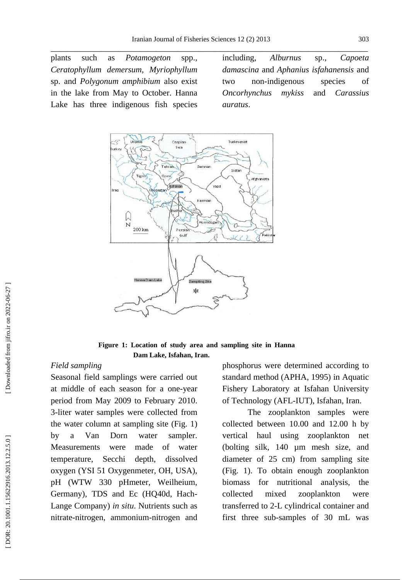plants such as *Potamogeton* spp., *Ceratophyllum demersum*, *Myriophyllum*  sp. and *Polygonum amphibium* also exist in the lake from May to October. Hanna Lake has three indigenous fish species including, *Alburnus* sp., *Capoeta damascina* and *Aphanius isfahanensis* and two non -indigenous species of *Oncorhynchus mykiss* and *Carassius auratus* .



**Figure 1: Location of study area and sampling site in Hanna Dam Lake, Isfahan, Iran.**

#### *Field sampling*

Seasonal field samplings were carried out at middle of each season for a one -year period from May 200 9 to February 2010 . 3 -liter water samples were collected from the water column at sampling site (Fig. 1) by a Van Dorn water sampler. Measurements were made of water temperature, Secchi depth, dissolved oxygen (YSI 51 Oxygenmeter, OH, USA), pH (WTW 330 pHmeter, Weilheium, Germany), TDS and Ec (HQ40d, Hach - Lange Company) in situ. Nutrients such as nitrate -nitrogen, ammonium -nitrogen and phosphorus were determined according to standard method (APHA, 1995) in Aquatic Fishery Laboratory at Isfahan University of Technology (AFL -IUT), Isfahan, Iran.

The zooplankton samples were collected between 10 .00 and 12 .00 h by vertical haul using zooplankton net (bolting silk, 140 µm mesh size, and diameter of 25 cm) from sampling site (Fig. 1). To obtain enough zooplankton biomass for nutritional analysis, the collected mixed zooplankton were transferred to 2 -L cylindrical container and first three sub -samples of 30 mL was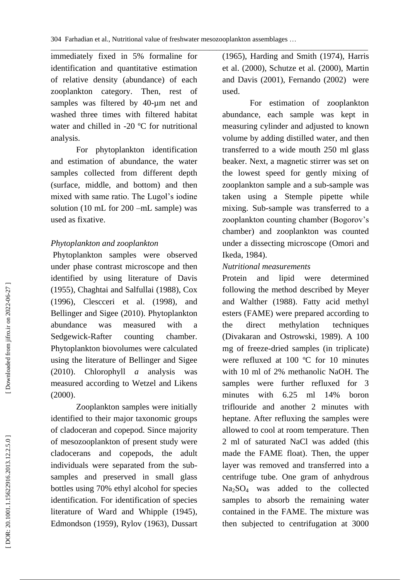\_\_\_\_\_\_\_\_\_\_\_\_\_\_\_\_\_\_\_\_\_\_\_\_\_\_\_\_\_\_\_\_\_\_\_\_\_\_\_\_\_\_\_\_\_\_\_\_\_\_\_\_\_\_\_\_\_\_\_\_\_\_\_\_\_\_\_\_\_\_\_\_\_\_\_\_\_\_\_\_\_\_\_\_\_\_\_\_\_\_ immediately fixed in 5% formaline for identification and quantitative estimation of relative density (abundance) of each zooplankton category. Then, rest of samples was filtered by 40-µm net and washed three times with filtered habitat water and chilled in -20 °C for nutritional analysis.

For phytoplankton identification and estimation of abundance, the water samples collected from different depth (surface, middle, and bottom) and then mixed with same ratio. The Lugol's iodine solution (10 mL for 200 –mL sample) was used as fixative.

### *Phytoplankton and zooplankton*

Phytoplankton samples were observed under phase contrast microscope and then identified by using literature of Davis (1955), Chaghtai and Salfullai (1988), Cox (1996) , Clescceri et al. (1998), and B ellinger and Sigee (2010). Phytoplankton abundance was measured with a Sedgewick-Rafter counting chamber. Phytoplankton biovolume s were calculated using the literature of Bellinger and Sigee (2010). Chlorophyll *a* analysis was measured according to Wetzel and Likens (2000).

Zooplankton samples were initially identified to their major taxonomic groups of cladoceran and copepod. Since majority of mesozooplankton of present study were cladocerans and copepods, the adult individuals were separated from the sub samples and preserved in small glass bottles using 70% ethyl alcohol for species identification. For identification of species literature of Ward and Whipple (1945), Edmondson (1959), Rylov (1963), Dussart

(196 5), Harding and Smith (1974), Harris et al. (2000), Schutze et al. (2000), Martin and Davis (2001), Fernando (2002) were used.

For estimation of zooplankton abundance, each sample was kept in measuring cylinder and adjusted to known volume by adding distilled water, and then transferred to a wide mouth 250 ml glass beaker. Next, a magnetic stirrer was set on the lowest speed for gently mixing of zooplankton sample and a sub -sample was taken using a Stemple pipette while mixing. Sub -sample was transferred to a zooplankton counting chamber (Bogorov's chamber) and zooplankton was counted under a dissecting microscope (Omori and Ikeda, 1984).

#### *Nutritional measurements*

Protein and lipid were determined following the method described by Meyer and Walther (1988). Fatty acid methyl esters (FAME) were prepared according to the direct methylation techniques (Divakaran and Ostrowski, 1989). A 100 mg of freeze -dried samples (in triplicate) were refluxed at 100 ºC for 10 minutes with 10 ml of 2% methanolic NaOH. The samples were further refluxed for 3 minutes with 6.25 ml 14% boron triflouride and another 2 minutes with heptane. After refluxing the samples were allowed to cool at room temperature. Then 2 ml of saturated NaCl was added (this made the FAME float). Then, the upper layer was removed and transferred into a centrifuge tube. One gram of anhydrous Na <sup>2</sup>SO <sup>4</sup> was added to the collected samples to absorb the remaining water contained in the FAME. The mixture was then subjected to centrifugation at 3000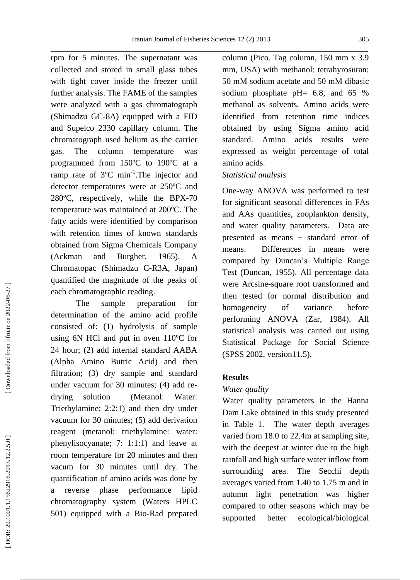\_\_\_\_\_\_\_\_\_\_\_\_\_\_\_\_\_\_\_\_\_\_\_\_\_\_\_\_\_\_\_\_\_\_\_\_\_\_\_\_\_\_\_\_\_\_\_\_\_\_\_\_\_\_\_\_\_\_\_\_\_\_\_\_\_\_\_\_\_\_\_\_\_\_\_ rpm for 5 minutes. The supernatant was collected and stored in small glass tubes with tight cover inside the freezer until further analysis. The FAME of the samples were analyzed with a gas chromatograph (Shimadzu GC -8A) equipped with a FID and Supelco 2330 capillary column. The chromatograph used helium as the carrier gas. The column temperature was programmed from 150ºC to 190ºC at a ramp rate of  $3^{\circ}$ C min<sup>-1</sup>. The injector and detector temperatures were at 250ºC and 280ºC, respectively, while the BPX -70 temperature was maintained at 200ºC. The fatty acids were identified by comparison with retention times of known standards obtained from Sigma Chemicals Company (Ackman and Burgher, 1965). A Chromatopac (Shimadzu C -R3A, Japan) quantified the magnitude of the peaks of each chromatographic reading.

The sample preparation for determination of the amino acid profile consisted of: (1) hydrolysis of sample using 6N HCl and put in oven 110ºC for 24 hour; (2) add internal standard AABA (Alpha Amino Butric Acid) and then filtration; (3) dry sample and standard under vacuum for 30 minutes; (4) add re drying solution (Metanol: Water: Triethylamine; 2:2:1) and then dry under vacuum for 30 minutes; (5) add derivation reagent (metanol: triethylamine: water: phenylisocyanate; 7: 1:1:1) and leave at room temperature for 20 minutes and then vacum for 30 minutes until dry. The quantification of amino acids was done by a reverse phase performance lipid chromatography system (Waters HPLC 501) equipped with a Bio -Rad prepared column (Pico. Tag column, 150 mm x 3.9 mm, USA) with methanol: tetrahyrosuran: 50 mM sodium acetate and 50 mM dibasic sodium phosphate pH= 6.8, and 65 % methanol as solvents. Amino acids were identified from retention time indices obtained by using Sigma amino acid standard. Amino acids results were expressed as weight percentage of total amino acids.

#### *Statistical analysis*

One-way ANOVA was performed to test for significant seasonal differences in FAs and AAs quantities, zooplankton density, and water quality parameters. Data are presented as means ± standard error of means. Differences in means were compared by Duncan's Multiple Range Test (Duncan, 1955). All percentage data were Arcsine -square root transformed and then tested for normal distribution and homogeneity of variance before performing ANOVA (Zar , 1984) . All statistical analysis was carried out using Statistical Package for Social Science (SPSS 2002, version11.5).

#### **Results**

#### *Water quality*

Water quality parameters in the Hanna Dam Lake obtained in this study presented in Table 1. The water depth averages varied from 18.0 to 22. 4 m at sampling site, with the deepest at winter due to the high rainfall and high surface water inflow from surrounding area. The Secchi depth averages varied from 1.40 to 1.75 m and in autumn light penetration was higher compared to other seasons which may be supported better ecological/biological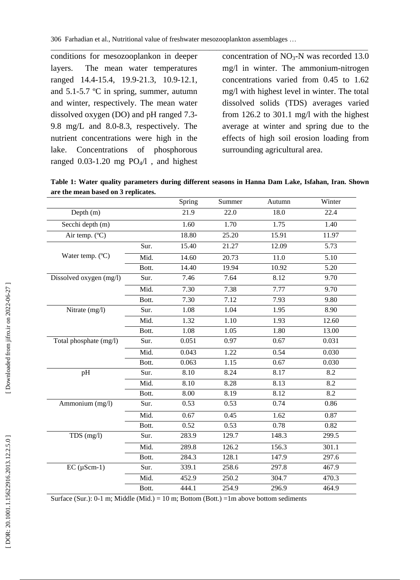\_\_\_\_\_\_\_\_\_\_\_\_\_\_\_\_\_\_\_\_\_\_\_\_\_\_\_\_\_\_\_\_\_\_\_\_\_\_\_\_\_\_\_\_\_\_\_\_\_\_\_\_\_\_\_\_\_\_\_\_\_\_\_\_\_\_\_\_\_\_\_\_\_\_\_\_\_\_\_\_\_\_\_\_\_\_\_\_\_\_ conditions for mesozooplankon in deeper layers. The mean water temperatures ranged 14.4 -15.4, 19.9 -21.3, 10.9 -12.1, and 5.1 -5.7 º C in spring, summer, autumn and winter, respectively. The mean water dissolved oxygen (DO) and pH ranged 7.3 - 9.8 mg/L and 8.0 -8.3, respectively. The nutrient concentration s were high in the lake. Concentrations of phosphorous ranged  $0.03-1.20$  mg  $PO<sub>4</sub>/1$ , and highest

concentration of  $NO<sub>3</sub>-N$  was recorded 13.0 mg/ l in winter. The ammonium -nitrogen concentrations varied from 0.45 to 1.62 mg/l with highest level in winter. The total dissolved solids (TDS) averages varied from 126.2 to 301.1 mg/l with the highest average at winter and spring due to the effects of high soil erosion loading from surrounding agricultural area.

**Table 1: Water quality parameters during different seasons in Hanna Dam Lake, Isfahan, Iran. Shown are the mean based on 3 replicates.**

|                         |       | Spring            | Summer | Autumn | Winter            |
|-------------------------|-------|-------------------|--------|--------|-------------------|
| Depth (m)               |       | $\overline{21.9}$ | 22.0   | 18.0   | 22.4              |
| Secchi depth (m)        |       | 1.60              | 1.70   | 1.75   | 1.40              |
| Air temp. (°C)          |       | 18.80             | 25.20  | 15.91  | 11.97             |
|                         | Sur.  | 15.40             | 21.27  | 12.09  | $\overline{5.73}$ |
| Water temp. (°C)        | Mid.  | 14.60             | 20.73  | 11.0   | 5.10              |
|                         | Bott. | 14.40             | 19.94  | 10.92  | 5.20              |
| Dissolved oxygen (mg/l) | Sur.  | 7.46              | 7.64   | 8.12   | 9.70              |
|                         | Mid.  | 7.30              | 7.38   | 7.77   | 9.70              |
|                         | Bott. | 7.30              | 7.12   | 7.93   | 9.80              |
| Nitrate (mg/l)          | Sur.  | 1.08              | 1.04   | 1.95   | 8.90              |
|                         | Mid.  | 1.32              | 1.10   | 1.93   | 12.60             |
|                         | Bott. | 1.08              | 1.05   | 1.80   | 13.00             |
| Total phosphate (mg/l)  | Sur.  | 0.051             | 0.97   | 0.67   | 0.031             |
|                         | Mid.  | 0.043             | 1.22   | 0.54   | 0.030             |
|                         | Bott. | 0.063             | 1.15   | 0.67   | 0.030             |
| pH                      | Sur.  | 8.10              | 8.24   | 8.17   | 8.2               |
|                         | Mid.  | 8.10              | 8.28   | 8.13   | 8.2               |
|                         | Bott. | 8.00              | 8.19   | 8.12   | 8.2               |
| Ammonium (mg/l)         | Sur.  | 0.53              | 0.53   | 0.74   | 0.86              |
|                         | Mid.  | 0.67              | 0.45   | 1.62   | 0.87              |
|                         | Bott. | 0.52              | 0.53   | 0.78   | 0.82              |
| $TDS$ (mg/l)            | Sur.  | 283.9             | 129.7  | 148.3  | 299.5             |
|                         | Mid.  | 289.8             | 126.2  | 156.3  | 301.1             |
|                         | Bott. | 284.3             | 128.1  | 147.9  | 297.6             |
| $EC$ ( $\mu$ Scm-1)     | Sur.  | 339.1             | 258.6  | 297.8  | 467.9             |
|                         | Mid.  | 452.9             | 250.2  | 304.7  | 470.3             |
|                         | Bott. | 444.1             | 254.9  | 296.9  | 464.9             |

Surface (Sur.): 0-1 m; Middle (Mid.) = 10 m; Bottom (Bott.) = 1m above bottom sediments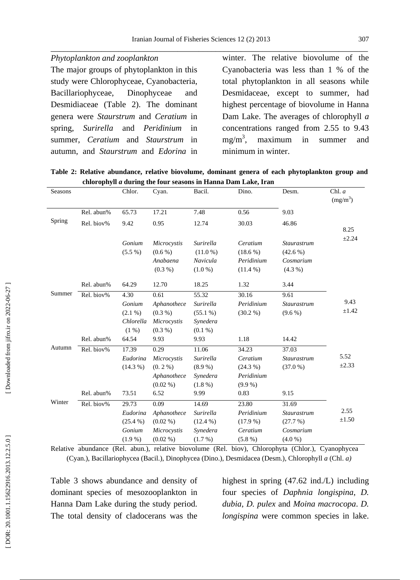The major groups of phytoplankton in this study were Chlorophyceae, Cyanobacteria, Bacillariophyceae, Dinophyceae and Desmidiaceae (Table 2). The dominant genera were *Staurstrum* and *Ceratium* in spring, *Surirella* and *Peridinium* in summer, *Ceratium* and *Staurstrum* in autumn , and *Staurstrum* and *Edorina* in winter. The relative biovolume of the Cyanobacteria was less than 1 % of the total phytoplankton in all seasons while Desmidaceae, except to summer, had highest percentage of biovolume in Hanna Dam Lake . The averages of chlorophyll *a* concentrations ranged from 2.55 to 9.43 mg/m 3 maximum in summer and minimum in winter .

**Table 2: Relative abundance, relative biovolume, dominant genera of each phytoplankton group and chlorophyll**  *a* **during the four seasons in Hanna Dam Lake, Iran**

| Seasons |                          | Chlor.                                                       | Cyan.                                                                  | Bacil.                                                            | Dino.                                                              | Desm.                                                       | Chl. $a$<br>$(mg/m^3)$ |
|---------|--------------------------|--------------------------------------------------------------|------------------------------------------------------------------------|-------------------------------------------------------------------|--------------------------------------------------------------------|-------------------------------------------------------------|------------------------|
|         | Rel. abun%               | 65.73                                                        | 17.21                                                                  | 7.48                                                              | 0.56                                                               | 9.03                                                        |                        |
| Spring  | Rel. biov%               | 9.42                                                         | 0.95                                                                   | 12.74                                                             | 30.03                                                              | 46.86                                                       | 8.25                   |
|         |                          | Gonium<br>$(5.5\%)$                                          | Microcystis<br>$(0.6\%)$<br>Anabaena<br>$(0.3\% )$                     | Surirella<br>$(11.0\%)$<br>Navicula<br>$(1.0\%)$                  | Ceratium<br>$(18.6\%)$<br>Peridinium<br>$(11.4\%)$                 | <b>Staurastrum</b><br>$(42.6\%)$<br>Cosmarium<br>$(4.3\% )$ | $\pm 2.24$             |
|         | Rel. abun%               | 64.29                                                        | 12.70                                                                  | 18.25                                                             | 1.32                                                               | 3.44                                                        |                        |
| Summer  | Rel. biov%<br>Rel. abun% | 4.30<br>Gonium<br>$(2.1\%)$<br>Chlorella<br>$(1\%)$<br>64.54 | 0.61<br>Aphanothece<br>$(0.3\%)$<br>Microcystis<br>$(0.3\%)$<br>9.93   | 55.32<br>Surirella<br>$(55.1\%)$<br>Synedera<br>$(0.1\%)$<br>9.93 | 30.16<br>Peridinium<br>$(30.2\%)$<br>1.18                          | 9.61<br>Staurastrum<br>$(9.6\%)$<br>14.42                   | 9.43<br>±1.42          |
| Autumn  | Rel. biov%<br>Rel. abun% | 17.39<br>Eudorina<br>$(14.3\%)$<br>73.51                     | 0.29<br>Microcystis<br>$(0.2\%)$<br>Aphanothece<br>$(0.02\% )$<br>6.52 | 11.06<br>Surirella<br>$(8.9\%)$<br>Synedera<br>$(1.8\%)$<br>9.99  | 34.23<br>Ceratium<br>$(24.3\%)$<br>Peridinium<br>$(9.9\%)$<br>0.83 | 37.03<br>Staurastrum<br>(37.0%<br>9.15                      | 5.52<br>$\pm 2.33$     |
| Winter  | Rel. biov%               | 29.73<br>Eudorina<br>$(25.4\%)$<br>Gonium<br>$(1.9\%)$       | 0.09<br>Aphanothece<br>$(0.02\% )$<br>Microcystis<br>$(0.02\% )$       | 14.69<br>Surirella<br>$(12.4\%)$<br>Synedera<br>$(1.7\%)$         | 23.80<br>Peridinium<br>$(17.9\%)$<br>Ceratium<br>$(5.8\%)$         | 31.69<br>Staurastrum<br>(27.7%)<br>Cosmarium<br>(4.0 %)     | 2.55<br>±1.50          |

Relative abundance (Rel. abun.), relative biovolume (Rel. biov), Chlorophyta (Chlor.), Cyanophycea (Cyan.), Bacillariophycea (Bacil.), Dinophycea (Dino.), Desmidacea (Desm.), Chlorophyll *a* (Chl. *a)*

Table 3 shows abundance and density of dominant species of mesozooplankton in Hanna Dam Lake during the study period. The total density of cladocerans was the

highest in spring (47.6 2 ind./L) including four species of *Daphnia longispina*, *D. dubia*, *D. pulex* and *Moina macrocopa*. *D. longispina* were common species in lake.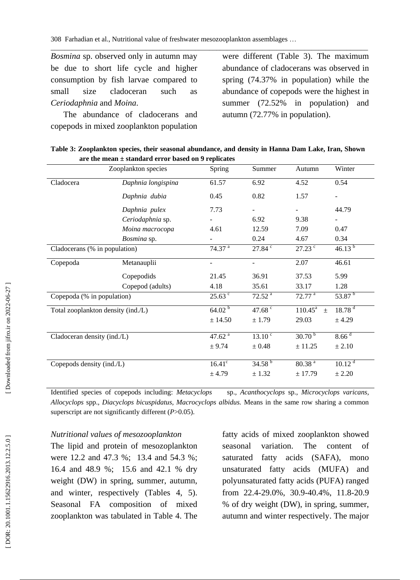*Bosmina* sp. observed only in autumn may be due to short life cycle and higher consumption by fish larvae co mpared to small size cladoceran such as *Ceriodaphnia* and *Moina*.

 The abundance of cladoceran s and copepods in mixed zooplankton population

were different (Table 3). The maximum abundance of cladocerans was observed in spring (74.37% in population) while the abundance of copepods were the highest in summer (72.52 % in population) and autumn (72.77% in population).

| Table 3: Zooplankton species, their seasonal abundance, and density in Hanna Dam Lake, Iran, Shown |  |  |  |
|----------------------------------------------------------------------------------------------------|--|--|--|
| are the mean $\pm$ standard error based on 9 replicates                                            |  |  |  |

\_\_\_\_\_\_\_\_\_\_\_\_\_\_\_\_\_\_\_\_\_\_\_\_\_\_\_\_\_\_\_\_\_\_\_\_\_\_\_\_\_\_\_\_\_\_\_\_\_\_\_\_\_\_\_\_\_\_\_\_\_\_\_\_\_\_\_\_\_\_\_\_\_\_\_\_\_\_\_\_\_\_\_\_\_\_\_\_\_\_

|                                    | Zooplankton species | Spring                   | Summer                   | Autumn                  | Winter             |
|------------------------------------|---------------------|--------------------------|--------------------------|-------------------------|--------------------|
| Cladocera                          | Daphnia longispina  | 61.57                    | 6.92                     | 4.52                    | 0.54               |
|                                    | Daphnia dubia       | 0.45                     | 0.82                     | 1.57                    | -                  |
|                                    | Daphnia pulex       | 7.73                     |                          |                         | 44.79              |
|                                    | Ceriodaphnia sp.    |                          | 6.92                     | 9.38                    |                    |
|                                    | Moina macrocopa     | 4.61                     | 12.59                    | 7.09                    | 0.47               |
|                                    | Bosmina sp.         |                          | 0.24                     | 4.67                    | 0.34               |
| Cladocerans (% in population)      |                     | $74.37^{a}$              | $27.84$ $\degree$        | $27.23$ $\degree$       | $46.13^{b}$        |
| Copepoda                           | Metanauplii         | $\overline{\phantom{a}}$ | $\overline{\phantom{a}}$ | 2.07                    | 46.61              |
|                                    | Copepodids          | 21.45                    | 36.91                    | 37.53                   | 5.99               |
|                                    | Copepod (adults)    | 4.18                     | 35.61                    | 33.17                   | 1.28               |
| Copepoda (% in population)         |                     | $25.63$ $\degree$        | 72.52 <sup>a</sup>       | $72.77$ <sup>a</sup>    | 53.87 $^{\rm b}$   |
| Total zooplankton density (ind./L) |                     | 64.02 <sup>b</sup>       | 47.68 $\degree$          | $110.45^{\circ}$<br>$+$ | 18.78 <sup>d</sup> |
|                                    |                     | ± 14.50                  | ± 1.79                   | 29.03                   | ± 4.29             |
| Cladoceran density (ind./L)        |                     | 47.62 $a$                | $13.10^{\circ}$          | $30.70^{b}$             | $8.66 \text{ d}$   |
|                                    |                     | ± 9.74                   | $\pm 0.48$               | ± 11.25                 | ± 2.10             |
| Copepods density (ind./L)          |                     | $16.41^{\circ}$          | $34.58^{b}$              | 80.38 <sup>a</sup>      | 10.12 <sup>d</sup> |
|                                    |                     | ± 4.79                   | ± 1.32                   | ± 17.79                 | ± 2.20             |

Identified species of copepods including: *Metacyclops* sp.*, Acanthocyclops* sp., *Microcyclops varicans, Allocyclops* spp.*, Diacyclops bicuspidatus, Macrocyclops albidus.* Means in the same row sharing a common superscript are not significantly different ( *P*>0.05).

#### *Nutritional values of mesozooplankton*

The lipid and protein of mesozoplankton were 12.2 and 47.3 %; 13.4 and 54.3 %; 16.4 and 48.9 %; 15.6 and 42.1 % dry weight (DW) in spring, summer, autumn, and winter, respectively (Tables 4, 5). Seasonal FA composition of mixed zooplankton was tabulated in Table 4. The fatty acids of mixed zooplankton showed seasonal variation. The content of saturated fatty acids (SAFA), mono unsaturated fatty acids (MUFA) and polyunsaturated fatty acids (PUFA) ranged from 22.4-29.0%, 30.9-40.4%, 11.8-20.9 % of dry weight (DW), in spring, summer, autumn and winter respectively. The major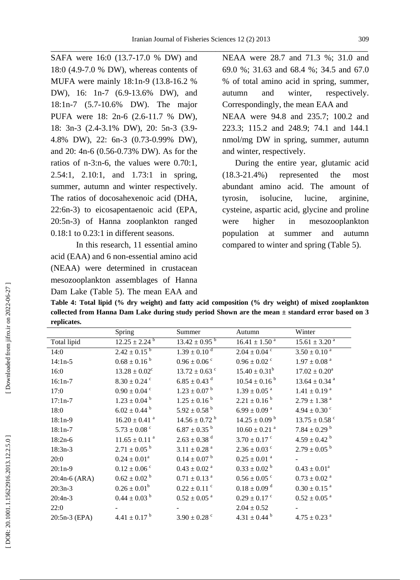\_\_\_\_\_\_\_\_\_\_\_\_\_\_\_\_\_\_\_\_\_\_\_\_\_\_\_\_\_\_\_\_\_\_\_\_\_\_\_\_\_\_\_\_\_\_\_\_\_\_\_\_\_\_\_\_\_\_\_\_\_\_\_\_\_\_\_\_\_\_\_\_\_\_\_ SAFA were 16:0 (13.7 -17.0 % DW) and 18:0 (4.9 -7.0 % DW), whereas contents of MUFA were mainly 18:1n -9 (13.8 -16.2 % DW), 16: 1n -7 (6.9 -13.6% DW), and 18:1n -7 (5.7 -10.6% DW). The major PUFA were 18: 2n-6 (2.6-11.7 % DW), 18: 3n-3 (2.4-3.1% DW), 20: 5n-3 (3.9-4.8% DW), 22: 6n -3 (0.73 -0.99% DW), and 20: 4n -6 (0.56 -0.73% DW). As for the ratios of n -3:n -6, the values were 0.70:1, 2.54:1, 2.10:1, and 1.73:1 in spring, summer, autumn and winter respectively. The ratios of docosahexenoic acid (DHA, 22:6n -3) to eicosapentaenoic acid (EPA, 20:5n -3) of Hanna zooplankton ranged 0.18:1 to 0.23:1 in different seasons.

In this research , 11 essential amino acid (EAA) and 6 non -essential amino acid (NEAA) were determined in crustacean mesozooplankton assemblages of Hanna Dam Lake (Table 5). The mean EAA and

NEAA were 28.7 and 71.3 %; 31.0 and 69.0 %; 31.63 and 68.4 %; 34.5 and 67.0 % of total amino acid in spring, summer, autumn and winter, respectively. Correspondingly, the mean EAA and NEAA were 94.8 and 235.7; 100.2 and 223.3; 115.2 and 248.9; 74.1 and 144.1 nmol/mg DW in spring, summer, autumn and winter, respectively.

 During the entire year, glutamic acid  $(18.3 - 21.4\%)$ represented the most abundant amino acid. The amount of tyrosin, isolucine, lucine, arginine, cysteine, aspartic acid, glycine and proline were higher in mesozooplankton population at summer and autumn compared to winter and spring (Table 5).

**Table 4: Total lipid (% dry weight) and fatty acid composition (% dry weight) of mixed zooplankton collected from Hanna Dam Lake during study period Shown are the mean ± standard error based on 3 replicates.**

|               | Spring                        | Summer                        | Autumn                        | Winter                        |
|---------------|-------------------------------|-------------------------------|-------------------------------|-------------------------------|
| Total lipid   | $12.25 \pm 2.24$ <sup>b</sup> | $13.42 \pm 0.95$ <sup>b</sup> | $16.41 \pm 1.50$ <sup>a</sup> | $15.61 \pm 3.20$ <sup>a</sup> |
| 14:0          | $2.42 \pm 0.15^{b}$           | $1.39 \pm 0.10$ <sup>d</sup>  | $2.04 \pm 0.04$ <sup>c</sup>  | $3.50 \pm 0.10$ <sup>a</sup>  |
| $14:1n-5$     | $0.68 \pm 0.16^{b}$           | $0.96 \pm 0.06$ <sup>c</sup>  | $0.96 \pm 0.02$ <sup>c</sup>  | $1.97\pm0.08$ $^{\rm a}$      |
| 16:0          | $13.28 \pm 0.02^c$            | $13.72 \pm 0.63$ °            | $15.40 \pm 0.31^b$            | $17.02 \pm 0.20^a$            |
| $16:1n-7$     | $8.30 \pm 0.24$ <sup>c</sup>  | $6.85 \pm 0.43$ <sup>d</sup>  | $10.54 \pm 0.16^{b}$          | $13.64 \pm 0.34$ <sup>a</sup> |
| 17:0          | $0.90\pm0.04$ $^{\circ}$      | $1.23 \pm 0.07$ <sup>b</sup>  | $1.39 \pm 0.05$ <sup>a</sup>  | $1.41 \pm 0.19$ <sup>a</sup>  |
| $17:1n-7$     | $1.23 \pm 0.04^{\text{b}}$    | $1.25 \pm 0.16^{\text{b}}$    | $2.21 \pm 0.16^{b}$           | $2.79\pm1.38$ $^{\rm a}$      |
| 18:0          | $6.02 \pm 0.44$ <sup>b</sup>  | $5.92 \pm 0.58$ <sup>b</sup>  | $6.99\pm0.09$ a               | $4.94 \pm 0.30$ <sup>c</sup>  |
| $18:1n-9$     | $16.20 \pm 0.41$ <sup>a</sup> | $14.56 \pm 0.72$ <sup>b</sup> | $14.25 \pm 0.09$ <sup>b</sup> | $13.75 \pm 0.58$ <sup>c</sup> |
| $18:1n-7$     | $5.73 \pm 0.08$ <sup>c</sup>  | $6.87 \pm 0.35$ <sup>b</sup>  | $10.60 \pm 0.21$ <sup>a</sup> | $7.84 \pm 0.29$ <sup>b</sup>  |
| $18:2n-6$     | $11.65 \pm 0.11$ <sup>a</sup> | $2.63 \pm 0.38$ <sup>d</sup>  | $3.70 \pm 0.17$ °             | $4.59\pm0.42$ $^{\rm b}$      |
| $18:3n-3$     | $2.71 \pm 0.05$ <sup>b</sup>  | $3.11\pm0.28$ $^{\rm a}$      | $2.36 \pm 0.03$ c             | $2.79 \pm 0.05^{b}$           |
| 20:0          | $0.24 \pm 0.01^a$             | $0.14 \pm 0.07$ <sup>b</sup>  | $0.25\pm0.01$ $^{\rm a}$      |                               |
| $20:1n-9$     | $0.12 \pm 0.06$ <sup>c</sup>  | $0.43 \pm 0.02$ <sup>a</sup>  | $0.33 \pm 0.02^{\text{ b}}$   | $0.43 \pm 0.01^a$             |
| 20:4n-6 (ARA) | $0.62 \pm 0.02$ <sup>b</sup>  | $0.71 \pm 0.13$ <sup>a</sup>  | $0.56 \pm 0.05$ <sup>c</sup>  | $0.73\pm0.02$ $^{\rm a}$      |
| $20:3n-3$     | $0.26 \pm 0.01^b$             | $0.22 \pm 0.11$ <sup>c</sup>  | $0.18 \pm 0.09$ <sup>d</sup>  | $0.30 \pm 0.15$ <sup>a</sup>  |
| $20:4n-3$     | $0.44 \pm 0.03$ <sup>b</sup>  | $0.52 \pm 0.05$ <sup>a</sup>  | $0.29 \pm 0.17$ <sup>c</sup>  | $0.52\pm0.05$ a               |
| 22:0          |                               |                               | $2.04 \pm 0.52$               |                               |
| 20:5n-3 (EPA) | $4.41 \pm 0.17$ <sup>b</sup>  | $3.90 \pm 0.28$ c             | $4.31 \pm 0.44^{\text{b}}$    | $4.75 \pm 0.23$ <sup>a</sup>  |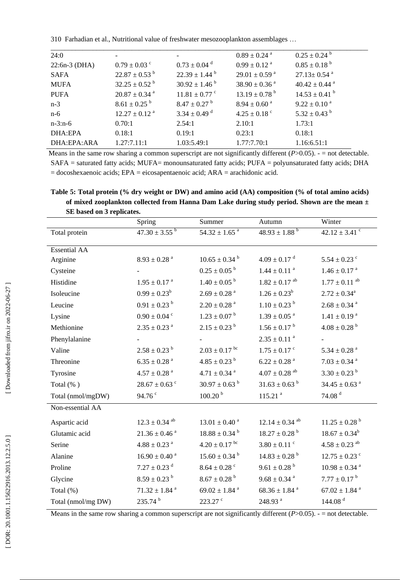| 24:0            |                               |                              | $0.89 \pm 0.24$ <sup>a</sup>  | $0.25 \pm 0.24$ <sup>b</sup>  |
|-----------------|-------------------------------|------------------------------|-------------------------------|-------------------------------|
| $22:6n-3$ (DHA) | $0.79 \pm 0.03$ c             | $0.73 \pm 0.04$ <sup>d</sup> | $0.99 \pm 0.12$ <sup>a</sup>  | $0.85 \pm 0.18^{b}$           |
| <b>SAFA</b>     | $22.87 \pm 0.53^{\mathrm{b}}$ | $22.39 \pm 1.44^{\text{ b}}$ | $29.01 \pm 0.59$ <sup>a</sup> | $27.13 \pm 0.54$ <sup>a</sup> |
| <b>MUFA</b>     | $32.25 \pm 0.52^{\circ}$      | $30.92 \pm 1.46^{\text{ b}}$ | $38.90 \pm 0.36$ <sup>a</sup> | $40.42 \pm 0.44$ <sup>a</sup> |
| <b>PUFA</b>     | $20.87 \pm 0.34$ <sup>a</sup> | $11.81 \pm 0.77$ °           | $13.19 \pm 0.78$ <sup>b</sup> | $14.53 \pm 0.41$ <sup>b</sup> |
| $n-3$           | $8.61 \pm 0.25$ <sup>b</sup>  | $8.47 \pm 0.27$ <sup>b</sup> | $8.94 \pm 0.60$ <sup>a</sup>  | $9.22 \pm 0.10^{\text{ a}}$   |
| $n-6$           | $12.27 \pm 0.12$ <sup>a</sup> | $3.34 \pm 0.49$ <sup>d</sup> | $4.25 \pm 0.18$ °             | $5.32 \pm 0.43$ <sup>b</sup>  |
| $n-3:n-6$       | 0.70:1                        | 2.54:1                       | 2.10:1                        | 1.73:1                        |
| DHA:EPA         | 0.18:1                        | 0.19:1                       | 0.23:1                        | 0.18:1                        |
| DHA:EPA:ARA     | 1.27:7.11:1                   | 1.03:5.49:1                  | 1.77:7.70:1                   | 1.16:6.51:1                   |

Means in the same row sharing a common superscript are not significantly different  $(P>0.05)$ . - = not detectable. SAFA = saturated fatty acids; MUFA= monounsaturated fatty acids; PUFA = polyunsaturated fatty acids; DHA = docoshexaenoic acids; EPA = eicosapentaenoic acid; ARA = arachidonic acid.

**Table 5: Total protein (% dry weight or DW) and amino acid (AA) composition (% of total amino acids) of mixed zooplankton collected from Hanna Dam Lake during study period. Shown are the mean ± SE based on 3 replicates.**

|                     | Spring                        | Summer                        | Autumn                         | Winter                        |
|---------------------|-------------------------------|-------------------------------|--------------------------------|-------------------------------|
| Total protein       | $47.30 \pm 3.55^{\mathrm{b}}$ | $54.32 \pm 1.65$ <sup>a</sup> | $48.93 \pm 1.88$ <sup>b</sup>  | $42.12 \pm 3.41$ <sup>c</sup> |
| <b>Essential AA</b> |                               |                               |                                |                               |
| Arginine            | $8.93 \pm 0.28$ <sup>a</sup>  | $10.65 \pm 0.34$ <sup>b</sup> | $4.09 \pm 0.17$ <sup>d</sup>   | $5.54\pm0.23$ $^{\circ}$      |
| Cysteine            |                               | $0.25 \pm 0.05$ <sup>b</sup>  | $1.44 \pm 0.11$ <sup>a</sup>   | $1.46 \pm 0.17$ <sup>a</sup>  |
| Histidine           | $1.95 \pm 0.17$ <sup>a</sup>  | $1.40 \pm 0.05$ <sup>b</sup>  | $1.82 \pm 0.17$ <sup>ab</sup>  | $1.77 \pm 0.11$ <sup>ab</sup> |
| Isoleucine          | $0.99 \pm 0.23^b$             | $2.69\pm0.28$ $^{\rm a}$      | $1.26 \pm 0.23^b$              | $2.72 \pm 0.34^{\text{a}}$    |
| Leucine             | $0.91 \pm 0.23$ <sup>b</sup>  | $2.20\pm0.28$ $^{\rm a}$      | $1.10 \pm 0.23$ <sup>b</sup>   | $2.68\pm0.34$ $^{\rm a}$      |
| Lysine              | $0.90 \pm 0.04$ <sup>c</sup>  | $1.23\pm0.07$ $^{\rm b}$      | $1.39\pm0.05$ $^{\rm a}$       | $1.41\pm0.19$ $^{\rm a}$      |
| Methionine          | $2.35 \pm 0.23$ <sup>a</sup>  | $2.15 \pm 0.23$ <sup>b</sup>  | $1.56 \pm 0.17$ <sup>b</sup>   | $4.08 \pm 0.28$ <sup>b</sup>  |
| Phenylalanine       |                               |                               | $2.35\pm0.11$ $^{\rm a}$       |                               |
| Valine              | $2.58 \pm 0.23$ <sup>b</sup>  | $2.03 \pm 0.17$ bc            | $1.75 \pm 0.17$ c              | $5.34\pm0.28$ a               |
| Threonine           | $6.35\pm0.28$ $^{\rm a}$      | $4.85 \pm 0.23$ <sup>b</sup>  | $6.22 \pm 0.28$ <sup>a</sup>   | $7.03\pm0.34$ a               |
| Tyrosine            | $4.57\pm0.28$ $^{\rm a}$      | $4.71 \pm 0.34$ <sup>a</sup>  | $4.07 \pm 0.28$ <sup>ab</sup>  | $3.30 \pm 0.23$ <sup>b</sup>  |
| Total $(\% )$       | $28.67 \pm 0.63$ °            | $30.97 \pm 0.63$ <sup>b</sup> | $31.63 \pm 0.63$ <sup>b</sup>  | $34.45 \pm 0.63$ <sup>a</sup> |
| Total (nmol/mgDW)   | 94.76 $\degree$               | 100.20 <sup>b</sup>           | 115.21 <sup>a</sup>            | 74.08 <sup>d</sup>            |
| Non-essential AA    |                               |                               |                                |                               |
| Aspartic acid       | $12.3 \pm 0.34$ <sup>ab</sup> | $13.01 \pm 0.40$ <sup>a</sup> | $12.14 \pm 0.34$ <sup>ab</sup> | $11.25 \pm 0.28$ <sup>b</sup> |
| Glutamic acid       | $21.36\pm0.46$ $^{\rm a}$     | $18.88 \pm 0.34$ <sup>b</sup> | $18.27 \pm 0.28$ <sup>b</sup>  | $18.67 \pm 0.34^b$            |
| Serine              | $4.88 \pm 0.23$ <sup>a</sup>  | $4.20 \pm 0.17$ bc            | $3.80 \pm 0.11$ c              | $4.58 \pm 0.23$ <sup>ab</sup> |
| Alanine             | $16.90 \pm 0.40$ <sup>a</sup> | $15.60 \pm 0.34$ <sup>b</sup> | $14.83 \pm 0.28$ <sup>b</sup>  | $12.75 \pm 0.23$ °            |
| Proline             | $7.27 \pm 0.23$ <sup>d</sup>  | $8.64 \pm 0.28$ <sup>c</sup>  | $9.61 \pm 0.28$ <sup>b</sup>   | $10.98 \pm 0.34$ <sup>a</sup> |
| Glycine             | $8.59 \pm 0.23$ <sup>b</sup>  | $8.67 \pm 0.28$ <sup>b</sup>  | $9.68 \pm 0.34$ <sup>a</sup>   | $7.77 \pm 0.17^{\text{ b}}$   |
| Total (%)           | $71.32 \pm 1.84$ <sup>a</sup> | $69.02 \pm 1.84$ <sup>a</sup> | $68.36 \pm 1.84$ <sup>a</sup>  | $67.02 \pm 1.84$ <sup>a</sup> |
| Total (nmol/mg DW)  | 235.74 <sup>b</sup>           | $223.27$ $\degree$            | 248.93 <sup>a</sup>            | 144.08 <sup>d</sup>           |

Means in the same row sharing a common superscript are not significantly different  $(P>0.05)$ .  $-$  = not detectable.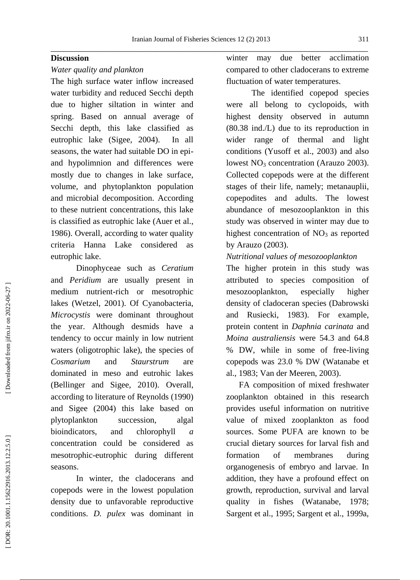#### **Discussion**

#### *Water quality and plankton*

The high surface water inflow increased water turbidity and reduced Secchi depth due to higher siltation in winter and spring. Based on annual average of Secchi depth, this lake classified as eutrophic lake (Sigee, 2004). In all seasons, the water had suitable DO in epi and hypolimnion and differences were mostly due to changes in lake surface, volume, and phytoplankton population and microbial decomposition. According to these nutrient concentrations, this lake is classified as eutrophic lake (Auer et al. , 1986). Overall, according to water quality criteria Hanna Lake considered as eutrophic lake.

Dinophyceae such as *Ceratium* and *Peridium* are usually present in medium nutrient -rich or mesotrophic lakes (Wetzel, 2001). Of Cyanobacteria, *Microcystis* were dominant throughout the year. Although desmids have a tendency to occur mainly in low nutrient waters (oligotrophic lake), the species of *Cosmarium* and *Staurstrum* are dominated in meso and eutrohic lakes (Bellinger and Sigee, 2010). Overall, according to literature of Reynolds (1990) and Sigee (2004) this lake based on plytoplankton succession, algal bioindicators, and chlorophyll *a* concentration could be considered as mesotrophic -eutrophic during different seasons.

In winter, the cladocerans and copepods were in the lowest population density due to unfavorable reproductive conditions. *D. pulex* was dominant in

winter may due better acclimation compared to other cladocerans to extreme fluctuation of water temperatures.

The identified copepod species were all belong to cyclopoids, with highest density observed in autumn (80.38 ind./L) due to its reproduction in wider range of thermal and light conditions (Yusoff et al., 2003) and also lowest NO <sup>3</sup> concentration (Arauzo 2003). Collected copepods were at the different stages of their life, namely; metanauplii, copepodites and adults. The lowest abundance of mesozooplankton in this study was observed in winter may due to highest concentration of NO <sup>3</sup> as reported by Arauzo (2003).

#### *Nutritional values of mesozooplankton*

The higher protein in this study was attributed to species composition of mesozooplankton, especially higher density of cladoceran species (Dabrowski and Rusiecki, 1983). For example, protein content in *Daphnia carinata* and *Moina australiensis* were 54.3 and 64.8 % DW, while in some of free -living copepods was 23.0 % DW (Watanabe et al., 1983; Van der Meeren, 2003).

 FA composition of mixed freshwater zooplankton obtained in this research provides useful information on nutritive value of mixed zooplankton as food sources. Some PUFA are known to be crucial dietary sources for larval fish and formation of membranes during organogenesis of embryo and larvae. In addition, they have a profound effect on growth, reproduction, survival and larval quality in fishes (Watanabe, 1978; Sargent et al., 1995; Sargent et al., 1999a,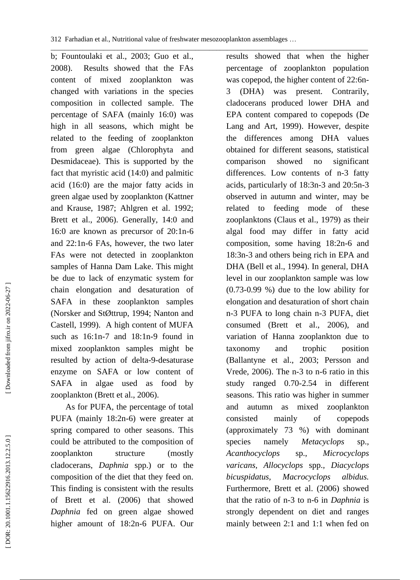\_\_\_\_\_\_\_\_\_\_\_\_\_\_\_\_\_\_\_\_\_\_\_\_\_\_\_\_\_\_\_\_\_\_\_\_\_\_\_\_\_\_\_\_\_\_\_\_\_\_\_\_\_\_\_\_\_\_\_\_\_\_\_\_\_\_\_\_\_\_\_\_\_\_\_\_\_\_\_\_\_\_\_\_\_\_\_\_\_\_ b; Fountoulaki et al., 2003; Guo et al., 2008). Results showed that the FAs content of mixed zooplankton was changed with variations in the species composition in collected sample. The percentage of SAFA (mainly 16:0) was high in all seasons, which might be related to the feeding of zooplankton from green algae (Chlorophyta and Desmidaceae). This is supported by the fact that myristic acid (14:0) and palmitic acid (16:0) are the major fatty acids in green algae used by zooplankton (Kattner and Krause, 1987; Ahlgren et al. 1992; Brett et al., 2006). Generally, 14:0 and 16:0 are known as precursor of 20:1n -6 and 22:1n -6 FAs, however, the two later FAs were not detected in zooplankton samples of Hanna Dam Lake. This might be due to lack of enzymatic system for chain elongation and desaturation of SAFA in these zooplankton samples (Norsker and StØttrup, 1994; Nanton and Castell, 1999). A high content of MUFA such as 16:1n -7 and 18:1n -9 found in mixed zooplankton samples might be resulted by action of delta - 9 -desaturase enzyme on SAFA or low content of SAFA in algae used as food by zooplankton (Brett et al., 2006).

 As for PUFA, the percentage of total PUFA (mainly 18:2n -6) were greater at spring compared to other season s. This could be attributed to the composition of zooplankton structure (mostly cladocerans, *Daphnia* spp.) or to the composition of the diet that they feed on. This finding is consistent with the results of Brett et al. (2006) that showed *Daphnia* fed on green algae showed higher amount of 18:2n -6 PUFA. Our results showed that when the higher percentage of zooplankton population was copepod, the higher content of 22:6n - 3 (DHA) was present. Contrarily, cladocerans produced lower DHA and EPA content compared to copepods (De Lang and Art, 1999). However, despite the differences among DHA values obtained for different seasons, statistical comparison showed no significant differences. Low contents of n -3 fatty acids, particularly of 18:3n -3 and 20:5n -3 observed in autumn and winter, may be related to feeding mode of these zooplankton s (Claus et al., 1979) as their algal food may differ in fatty acid composition, some having 18:2n -6 and 18:3n -3 and others being rich in EPA and DHA (Bell et al., 1994). In general, DHA level in our zooplankton sample was low (0.73 -0.99 %) due to the low ability for elongation and desaturation of short chain n-3 PUFA to long chain n-3 PUFA, diet consumed (Brett et al., 2006), and variation of Hanna zooplankton due to taxonomy and trophic position (Ballantyne et al., 2003; Persson and Vrede, 2006). The n -3 to n -6 ratio in this study ranged 0.70 -2.54 in different seasons. This ratio was higher in summer and autumn as mixed zooplankton consisted mainly of copepods (approximately 73 %) with dominant species namely *Metacyclops* sp.*, Acanthocyclops* sp., *Microcyclops varicans, Allocyclops* spp.*, Diacyclops bicuspidatus, Macrocyclops albidus.*  Furthermore, Brett et al. (2006) showed that the ratio of n -3 to n -6 in *Daphnia* is strongly dependent on diet and ranges mainly between 2:1 and 1:1 when fed on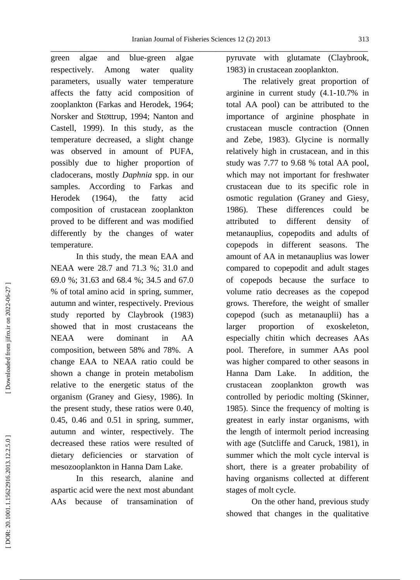\_\_\_\_\_\_\_\_\_\_\_\_\_\_\_\_\_\_\_\_\_\_\_\_\_\_\_\_\_\_\_\_\_\_\_\_\_\_\_\_\_\_\_\_\_\_\_\_\_\_\_\_\_\_\_\_\_\_\_\_\_\_\_\_\_\_\_\_\_\_\_\_\_\_\_ green algae and blue-green algae respectively . Among water quality parameters, usually water temperature affects the fatty acid composition of zooplankton (Farkas and Herodek, 1964; Norsker and St Øttrup, 1994; Nanton and Castell, 1999). In this study, as the temperature decreased, a slight change was observed in amount of PUFA, possibly due to higher proportion of cladocerans, mostly *Daphnia* spp. in our samples. According to Farkas and Herodek (1964), the fatty acid composition of crustacean zooplankton proved to be different and was modified differently by the changes of water temperature.

In this study, the mean EAA and NEAA were 28.7 and 71.3 %; 31.0 and 69.0 %; 31.63 and 68.4 %; 34.5 and 67.0 % of total amino acid in spring, summer, autumn and winter, respectively. Previous study reported by Claybrook (1983) showed that in most crustaceans the NEAA were dominant in AA composition, between 58% and 78%. A change EAA to NEAA ratio could be shown a change in protein metabolism relative to the energetic status of the organism (Graney and Giesy, 1986). In the present study, these ratios were 0.40, 0.45, 0.46 and 0.51 in spring, summer, autumn and winter, respectively. The decreased these ratios were resulted of dietary deficiencies or starvation of mesozooplankton in Hanna Dam Lake.

In this research, alanine and aspartic acid were the next most abundant AAs because of transamination of pyruvate with glutamate (Claybrook, 1983) in crustacean zooplankton.

 The relatively great proportion of arginine in current study (4.1 -10.7% in total AA pool) can be attributed to the importance of arginine phosphate in crustacean muscle contraction (Onnen and Zebe, 1983). Glycine is normally relatively high in crustacean, and in this study was 7.77 to 9.68 % total AA pool, which may not important for freshwater crustacean due to its specific role in osmotic regulation (Graney and Giesy, 1986). These differences could be attributed to different density of metanauplius, copepodits and adults of copepods in different seasons. The amount of AA in met anauplius was lower compared to copepodit and adult stages of copepods because the surface to volume ratio decreases as the copepod grows. Therefore, the weight of smaller copepod (such as metanauplii) has a larger proportion of exoskeleton, especially chitin which decreases AAs pool. Therefore, in summer AAs pool was higher compared to other seasons in Hanna Dam Lake. In addition, the crustacean zooplankton growth was controlled by periodic molting (Skinner, 1985). Since the frequency of molting is greatest in early instar organisms, with the length of intermolt period increasing with age (Sutcliffe and Caruck, 1981), in summer which the molt cycle interval is short, there is a greater probability of having organisms collected at different stages of molt cycle.

On the other hand, previous study showed that changes in the qualitative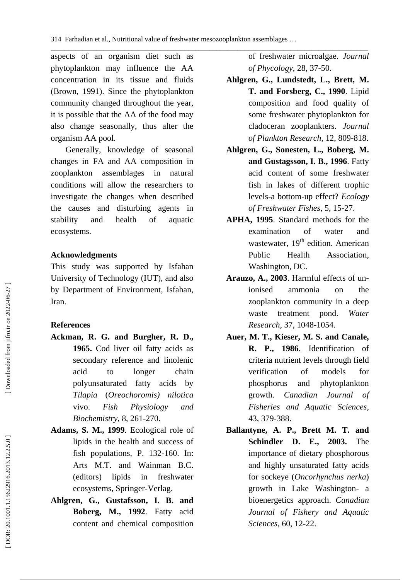\_\_\_\_\_\_\_\_\_\_\_\_\_\_\_\_\_\_\_\_\_\_\_\_\_\_\_\_\_\_\_\_\_\_\_\_\_\_\_\_\_\_\_\_\_\_\_\_\_\_\_\_\_\_\_\_\_\_\_\_\_\_\_\_\_\_\_\_\_\_\_\_\_\_\_\_\_\_\_\_\_\_\_\_\_\_\_\_\_\_ aspects of an organism diet such as phytoplankton may influence the AA concentration in its tissue and fluids (Brown, 1991). Since the phytoplankton community changed throughout the year, it is possible that the AA of the food may also change seasonally, thus alter the organism AA pool.

 Generally, knowledge of seasonal changes in FA and AA composition in zooplankton assemblages in natural conditions will allow the researchers to investigate the changes when described the causes and disturbing agents in stability and health of aquatic ecosystems.

#### **Acknowledgments**

This study was supported by Isfahan University of Technology (IUT), and also by Department of Environment, Isfahan, Iran.

#### **Reference s**

- Ackman, R. G. and Burgher, R. D., **1965 .** Cod liver oil fatty acids as secondary reference and linolenic acid to longer chain polyunsaturated fatty acids by *Tilapia* (*Oreochoromis) nilotica* vivo . *Fish Physiology and Biochemistry* , 8 , 261 -270.
- **Adams , S . M . , 1999** . Ecological role of lipids in the health and success of fish populations, P. 132 -160. In: Arts M.T. and Wainman B.C. (editors) lipids in freshwater ecosystems, Springer - Verlag.
- **Ahlgren , G ., Gustafsson , I . B . and Boberg , M . , 1992** . Fatty acid content and chemical composition

of freshwater microalgae. *Journal of Phycology* , 28, 37 -50.

- **Ahlgren , G ., Lundstedt , L ., Brett , M . T . and Forsberg , C . , 1990** . Lipid composition and food quality of some freshwater phytoplankton for cladoceran zooplankters. *Journal of Plankton Research* , 12 , 809 -818.
- Ahlgren, G., Sonesten, L., Boberg, M. **and Gustagsson , I . B . , 1996** . Fatty acid content of some freshwater fish in lakes of different trophic levels -a bottom -up effect? *Ecology of Freshwater Fishes* , 5 , 15 -27.
- **APHA , 1995** . Standard methods for the examination of water and wastewater,  $19<sup>th</sup>$  edition. American Public Health Association, Washington, DC.
- **Arauzo , A. , 2003**. Harmful effects of un ionised ammonia on the zooplankton community in a deep waste treatment pond. *Water Research*, 37 , 1048 -1054.
- **Auer , M. T., Kieser, M. S. and Canale, R. P. , 1986**. Identification of criteria nutrient levels through field verification of models for phosphorus and phytoplankton growth. *Canadian Journal of Fisheries and Aquatic Sciences* , 43, 379 -388.
- **Ballantyne , A . P ., Brett M . T . and Schindler D . E . , 2003 .** The importance of dietary phosphorous and highly unsaturated fatty acids for sockeye (*Oncorhynchus nerka*) growth in Lake Washington - a bioenergetics approach. *Canadian Journal of Fishery and Aquatic Sci ences* , 60 , 12 -22.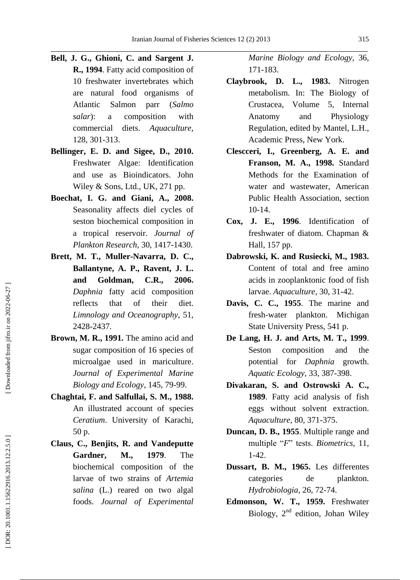- **Bell , J . G ., Ghioni , C . and Sargent J . R . , 1994** . Fatty acid composition of 10 freshwater invertebrates which are natural food organisms of Atlantic Salmon parr (*Salmo salar*): a composition with commercial diets. *Aquaculture* , 128 , 301 -313.
- **Bellinger , E . D . and Sigee , D. , 2010.** Freshwater Algae: Identification and use as Bioindicators. John Wiley & Sons, Ltd., UK, 271 pp.
- **Boechat , I . G . and Giani , A. , 2008 .** Seasonality affects diel cycles of seston biochemical composition in a tropical reservoir. *Journal of Plankton Research* , 30 , 1417 -1430.
- Brett, M. T., Muller-Navarra, D. C., **Ballantyne , A . P ., Ravent , J . L . and Goldman , C . R . , 2006 .** *Daphnia* fatty acid composition reflects that of their diet. *Limnology and Oceanography* , 51 , 2428 -2437.
- **Brown, M . R., 1991.** The amino acid and sugar composition of 16 species of microalgae used in mariculture . *Journal of Experimental Marine Biology and Ecology*, 145, 79 -99.
- **Chaghtai , F . and Salfullai , S . M . , 1988 .** An illustrated account of species *Ceratium*. University of Karachi, 50 p .
- **Claus , C ., Benjits , R . and Vandeputte Gardner , M . , 1979** . The biochemical composition of the larvae of two strains of *Artemia salina* (L.) reared on two algal foods. *Journal of Experimental*

*Marine Biology and Ecology* , 36 , 171 -183.

- **Claybrook , D. L. , 1983.** Nitrogen metabolism. In: The Biology of Crustacea, Volume 5, Internal Anatomy and Physiology Regulation, edited by Mantel, L.H., Academic Press, New York.
- **Clescceri , I ., Greenberg , A . E . and Franson , M . A . , 1998 .** Standard Methods for the Examination of water and wastewater, American Public Hea lth Association, section 10 -14 .
- **Cox , J . E . , 1996** . Identification of freshwater of diatom . Chapman & Hall, 157 pp.
- **Dabrowski, K. and Rusiecki, M., 1983 .** Content of total and free amino acids in zooplanktonic food of fish larvae . *Aquaculture* , 30 , 31 -42.
- **Davis , C . C . , 1955** . The marine and fresh -water plankton . Michigan State University Press, 541 p.
- De Lang, H. J. and Arts, M. T., 1999. Seston composition and the potential for *Daphnia* growth . *Aquatic Eco logy* , 33 , 387 -398.
- **Divakaran , S . and Ostrowski A . C . , 1989** . Fatty acid analysis of fish eggs without solvent extraction . *Aquaculture* , 80 , 371 -375.
- **Duncan , D . B . , 1955** . Multiple range and multiple " *F*" tests. *Biometrics* , 11, 1 -42.
- **Dussart , B . M . , 1965 .** Les differentes categories de plankton. *Hydrobiologia* , 26 , 72 -74.
- **Edmonson , W . T . , 1959 .** Freshwater Biology,  $2<sup>nd</sup>$  edition, Johan Wiley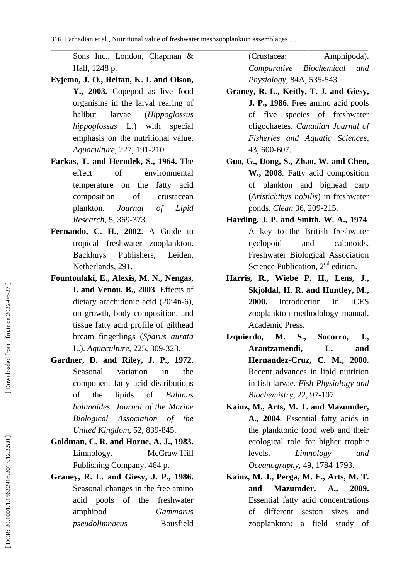\_\_\_\_\_\_\_\_\_\_\_\_\_\_\_\_\_\_\_\_\_\_\_\_\_\_\_\_\_\_\_\_\_\_\_\_\_\_\_\_\_\_\_\_\_\_\_\_\_\_\_\_\_\_\_\_\_\_\_\_\_\_\_\_\_\_\_\_\_\_\_\_\_\_\_\_\_\_\_\_\_\_\_\_\_\_\_\_\_\_

Sons Inc., London, Chapman & Hall, 1248 p.

- **Evjemo , J . O ., Reitan , K . I . and Olson , Y . , 2003 .** Copepod as live food organisms in the larval rearing of halibut larvae (*Hippoglossus hippoglossus* L.) with special emphasis on the nutritional value. *Aquaculture* , 227, 191 -210.
- **Farkas, T. and Herodek, S., 1964.** The effect of environmental temperature on the fatty acid composition of crustacean plankton . *Journal of Lipid Research* , 5 , 369 -373.
- **Fernando , C . H . , 2002** . A Guide to tropical freshwater zooplankton. Backhuys Publishers, Leiden, Netherlands, 291.
- **Fountoulaki , E ., Alexis , M . N ., Nengas , I . and Venou , B . , 2003** . Effects of dietary arachidonic acid (20:4n -6), on growth, body composition, and tissue fatty acid profile of gilthead bream fingerlings (*Sparus aurata* L.). *Aquaculture* , 225, 309 -323.
- **Gardner , D . and Riley , J . P . , 1972** . Seasonal variation in the component fatty acid distributions of the lipids of *Balanus balanoides* . *Journal of the Marine Biological Association of the United Kingdom*, 52, 839-845.
- Goldman, C. R. and Horne, A. J., 1983. Limnology . McGraw -Hill Publishing Company. 464 p.
- **Graney , R. L. and Giesy , J. P. , 1986.** Seasonal changes in the free amino acid pools of the freshwater amphipod *Gammarus pseudolimnaeus* Bousfield

(Crustacea: Amphipoda). *Comparative Biochemical and Physiology* , 84A , 535 -543.

- **Graney , R. L., Keitly , T. J. and Giesy , J. P. , 1986**. Free amino acid pools of five species of freshwater oligochaetes. *Canadian Journal of Fisheries and Aquatic Sciences* , 43, 600 -607.
- **Guo , G ., Dong , S ., Zhao , W . and Chen , W . , 2008** . Fatty acid composition of plankton and bighead carp (*Aristichthys nobilis*) in freshwater ponds *. Clean* 36 , 209 -215.
- **Harding, J. P. and Smith, W. A., 1974.** A key to the British freshwater cyclopoid and calonoids. Freshwater Biological Association Science Publication, 2<sup>nd</sup> edition.
- **Harris, R., Wiebe P. H., Lens, J.,** Skjoldal, H. R. and Huntley, M., **2000 .** Introduction in ICES zooplankton methodology manual. Academic Press.
- **Izquierdo , M . S ., Socorro , J ., Arantzamendi , L . and Hernandez -Cruz , C . M . , 2000** . Recent advances in lipid nutrition in fish larvae. *Fish Physiology and Biochemistry* , 22, 97 -107.
- **Kainz , M ., Art s , M . T . and Mazumder , A . , 2004** . Essential fatty acids in the planktonic food web and their ecological role for higher trophic levels. *Limnology and Oceanography* , 49 , 1784 -1793.
- **Kainz , M . J ., Perga , M . E ., Arts , M . T. and Mazumder , A. , 2009.**  Essential fatty acid concentrations of different seston sizes and zooplankton: a field study of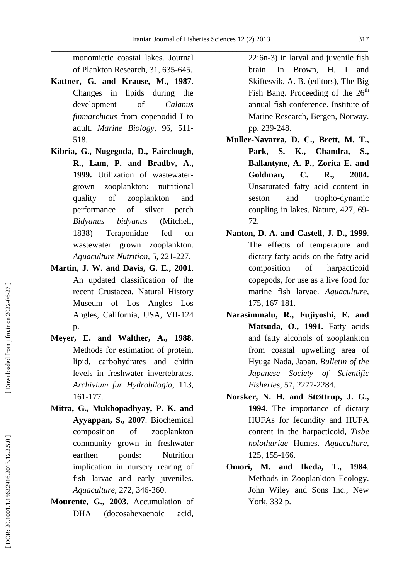monomictic coastal lakes. Journal of Plankton Research , 31 , 635 -645.

- **Kattner , G . and Krause , M . , 1987** . Changes in lipids during the development of *Calanus finmarchicus* from copepodid I to adult. *Marine Biology* , 96 , 511 - 518.
- **Kibria , G ., Nugegoda , D ., Fairclough , R., Lam, P. and Bradbv, A., 1999 .** Utilization of wastewater grown zooplankton: nutritional quality of zooplankton and performance of silver perch *Bidyanus bidyanus* (Mitchell, 1838) Teraponidae fed on wastewater grown zooplankton. *Aquaculture Nutrition* , 5 , 221 -227.
- **Martin , J . W . and Davis , G . E . , 2001** . An updated classification of the recent Crustacea, Natural History Museum of Los Angles Los Angles, California, USA, VII -124 p.
- **Meyer, E. and Walther, A., 1988**. Methods for estimation of protein, lipid, carbohydrates and chitin levels in freshwater invertebrates. *Archivium fur Hydrobilogia* , 113 , 161 -177.
- **Mitra , G ., Mukhopadhyay , P . K . and Ayyappan , S . , 2007** . Biochemical composition of zooplankton community grown in freshwater earthen ponds: Nutrition implication in nursery rearing of fish larvae and early juveniles . *Aquaculture* , 272, 346 -360.
- **Mourente , G . , 2003 .** Accumulation of DHA (docosahexaenoic acid,

22:6n -3) in larval and juvenile fish brain. In Brown, H. I and Skiftesvik, A. B. (editors), The Big Fish Bang. Proceeding of the  $26<sup>th</sup>$ annual fish conference. Institute of Marine Research, Bergen, Norway. pp. 239-248.

- **Muller -Navarra , D . C ., Brett , M . T ., Park, S. K., Chandra, S., Ballantyne , A . P ., Zorita E . and Goldman , C . R . , 2004 .** Unsaturated fatty acid content in seston and tropho -dynamic coupling in lakes. Nature , 427, 69 - 72.
- **Nanton , D . A . and Castell , J . D . , 1999** . The effects of temperature and dietary fatty acids on the fatty acid composition of harpacticoid copepods, for use as a live food for marine fish larvae. *Aquaculture* , 175 , 167 -181.
- **Narasimmalu , R ., Fujiyoshi , E . and Matsuda , O . , 1991 .** Fatty acids and fatty alcohols of zooplankton from coastal upwelling area of Hyuga Nada, Japan. *Bulletin of the Japanese Society of Scientific Fisheries* , 57 , 2277 -2284.
- Norsker, N. H. and Støttrup, J. G., **1994** . The importance of dietary HUFAs for fecundity and HUFA content in the harpacticoid, *Tisbe holothuriae* Humes. *Aquaculture* , 125, 155 -166.
- **Omori , M . and Ikeda , T . , 1984** . Methods in Zooplankton Ecology. John Wiley and Sons Inc., New York, 332 p.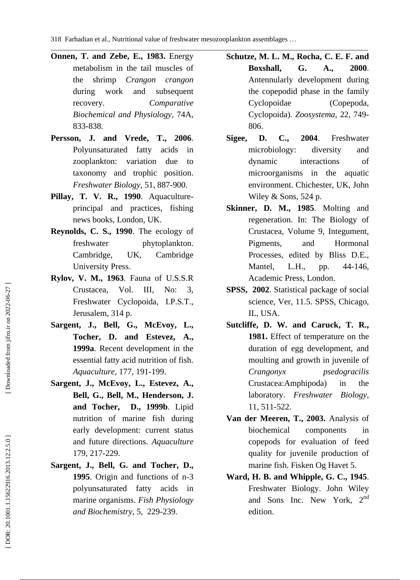\_\_\_\_\_\_\_\_\_\_\_\_\_\_\_\_\_\_\_\_\_\_\_\_\_\_\_\_\_\_\_\_\_\_\_\_\_\_\_\_\_\_\_\_\_\_\_\_\_\_\_\_\_\_\_\_\_\_\_\_\_\_\_\_\_\_\_\_\_\_\_\_\_\_\_\_\_\_\_\_\_\_\_\_\_\_\_\_\_\_

- **Onnen , T. and Zebe , E. , 1983.** Energy metabolism in the tail muscles of the shrimp *Crangon crangon* during work and subsequent recovery. *Comparative Biochemical and Physiology* , 74A, 833 -838.
- **Persson , J . and Vrede , T . , 2006** . Polyunsaturated fatty acids in zooplankton: variation due to taxonomy and trophic position. *Freshwater Biology* , 51 , 887 -900.
- **Pillay , T . V . R . , 1990** . Aquaculture principal and practices, fishing news books, London, UK.
- **Reynolds, C. S. , 1990** . The ecology of freshwater phytoplankton. Cambridge, UK, Cambridge University Press.
- **Rylov , V . M . , 1963** . Fauna of U.S.S.R Crustacea , Vol. III, No: 3, Freshwater Cyclopoida, I.P.S.T., Jerusalem, 314 p.
- Sargent, J., Bell, G., McEvoy, L., **Tocher , D . and Estevez , A . , 1999a**. Recent development in the essential fatty acid nutrition of fish. *Aquaculture* , 177 , 191 -199.
- Sargent, J., McEvoy, L., Estevez, A., **Bell , G ., Bell , M ., Henderson , J . and Tocher, D ., 1999b**. Lipid nutrition of marine fish during early development: current status and future directions. *Aquaculture* 179, 217 -229.
- Sargent, J., Bell, G. and Tocher, D., **1995** . Origin and functions of n -3 polyunsaturated fatty acids in marine organisms . *Fish Physiology and Biochemistry*, 5, 229 -239.
- **Schutze , M . L . M ., Rocha , C . E . F . and Boxshall , G . A . , 2000** . Antennularly development during the copepodid phase in the family Cyclopoidae (Copepoda, Cyclopoida). *Zoosystema* , 22 , 749 - 806.
- **Sigee , D. C. , 2004** . Freshwater microbiology: diversity and dynamic interactions of microorganisms in the aquatic environment. Chichester, UK, John Wiley & Sons, 524 p.
- **Skinner , D. M. , 1985**. Molting and regeneration. In: The Biology of Crustacea, Volume 9, Integument, Pigments, and Hormonal Processes, edited by Bliss D.E., Mantel, L.H., pp. 44-146, Academic Press, London.
- **SPSS , 2002** . Statistical package of social science, Ver, 11.5. SPSS, Chicago, IL, USA.
- **Sutcliffe , D. W. and Caruck , T. R. , 1981.** Effect of temperature on the duration of egg development, and moulting and growth in juvenile of *Crangonyx psedogracilis* Crustacea:Amphipoda) in the laboratory. *Freshwater Biology* , 11, 511 -522.
- **Van der Meeren, T., 2003.** Analysis of biochemical components in copepods for evaluation of feed quality for juvenile production of marine fish. Fisken Og Havet 5.
- Ward, H. B. and Whipple, G. C., 1945. Freshwater Biology. John Wiley and Sons Inc. New York, 2<sup>nd</sup> edition.